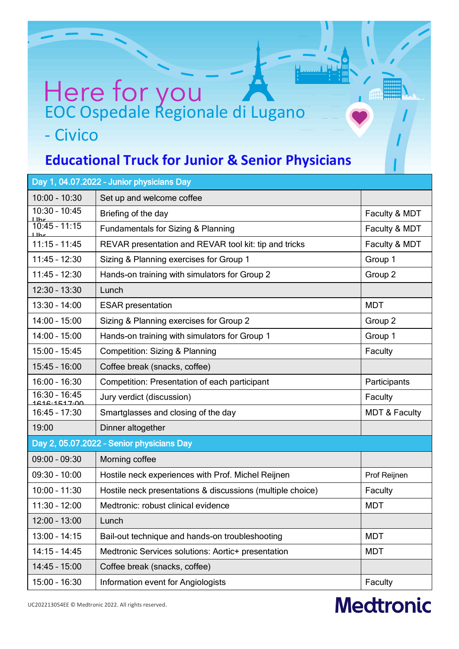## Here for you - Civico

 $\overline{\phantom{a}}$ 

## **Educational Truck for Junior & Senior Physicians**

| Day 1, 04.07.2022 - Junior physicians Day |                                                            |                          |  |
|-------------------------------------------|------------------------------------------------------------|--------------------------|--|
| $10:00 - 10:30$                           | Set up and welcome coffee                                  |                          |  |
| $10:30 - 10:45$                           | Briefing of the day                                        | Faculty & MDT            |  |
| $\frac{11hr}{10:45 - 11:15}$<br>l Ihr     | Fundamentals for Sizing & Planning                         | Faculty & MDT            |  |
| $11:15 - 11:45$                           | REVAR presentation and REVAR tool kit: tip and tricks      | Faculty & MDT            |  |
| $11:45 - 12:30$                           | Sizing & Planning exercises for Group 1                    | Group 1                  |  |
| $11:45 - 12:30$                           | Hands-on training with simulators for Group 2              | Group 2                  |  |
| $12:30 - 13:30$                           | Lunch                                                      |                          |  |
| $13:30 - 14:00$                           | <b>ESAR</b> presentation                                   | <b>MDT</b>               |  |
| $14:00 - 15:00$                           | Sizing & Planning exercises for Group 2                    | Group 2                  |  |
| $14:00 - 15:00$                           | Hands-on training with simulators for Group 1              | Group 1                  |  |
| $15:00 - 15:45$                           | <b>Competition: Sizing &amp; Planning</b>                  | Faculty                  |  |
| $15:45 - 16:00$                           | Coffee break (snacks, coffee)                              |                          |  |
| $16:00 - 16:30$                           | Competition: Presentation of each participant              | Participants             |  |
| $16:30 - 16:45$<br>1616.1517.00           | Jury verdict (discussion)                                  | Faculty                  |  |
| $16:45 - 17:30$                           | Smartglasses and closing of the day                        | <b>MDT &amp; Faculty</b> |  |
| 19:00                                     | Dinner altogether                                          |                          |  |
| Day 2, 05.07.2022 - Senior physicians Day |                                                            |                          |  |
| $09:00 - 09:30$                           | Morning coffee                                             |                          |  |
| $09:30 - 10:00$                           | Hostile neck experiences with Prof. Michel Reijnen         | Prof Reijnen             |  |
| $10:00 - 11:30$                           | Hostile neck presentations & discussions (multiple choice) | Faculty                  |  |
| $11:30 - 12:00$                           | Medtronic: robust clinical evidence                        | <b>MDT</b>               |  |
| $12:00 - 13:00$                           | Lunch                                                      |                          |  |
| $13:00 - 14:15$                           | Bail-out technique and hands-on troubleshooting            | <b>MDT</b>               |  |
| $14:15 - 14:45$                           | Medtronic Services solutions: Aortic+ presentation         | <b>MDT</b>               |  |
| $14:45 - 15:00$                           | Coffee break (snacks, coffee)                              |                          |  |
| $15:00 - 16:30$                           | Information event for Angiologists                         | Faculty                  |  |

## **Medtronic**

UC202213054EE © Medtronic 2022. All rights reserved.